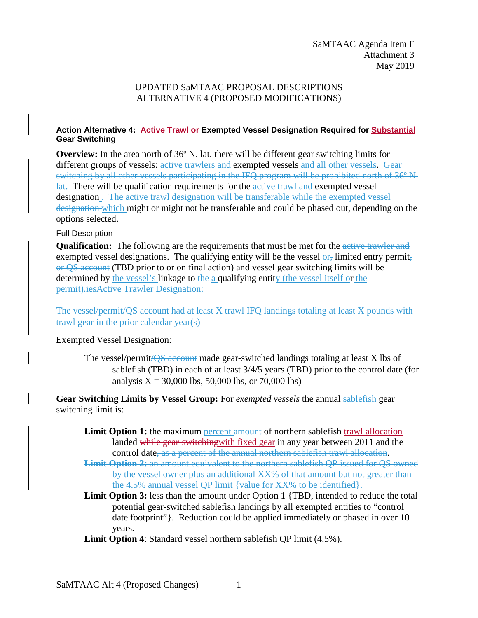## UPDATED SaMTAAC PROPOSAL DESCRIPTIONS ALTERNATIVE 4 (PROPOSED MODIFICATIONS)

## **Action Alternative 4: Active Trawl or Exempted Vessel Designation Required for Substantial Gear Switching**

**Overview:** In the area north of 36<sup>°</sup> N. lat. there will be different gear switching limits for different groups of vessels: active trawlers and exempted vessels and all other vessels. Gear switching by all other vessels participating in the IFQ program will be prohibited north of 36º N. lat. There will be qualification requirements for the active trawl and exempted vessel designation . The active trawl designation will be transferable while the exempted vessel designation which might or might not be transferable and could be phased out, depending on the options selected.

## Full Description

**Qualification:** The following are the requirements that must be met for the active trawler and exempted vessel designations. The qualifying entity will be the vessel or, limited entry permit, or QS account (TBD prior to or on final action) and vessel gear switching limits will be determined by the vessel's linkage to the a qualifying entity (the vessel itself or the permit).iesActive Trawler Designation:

The vessel/permit/QS account had at least X trawl IFQ landings totaling at least X pounds with trawl gear in the prior calendar year(s)

Exempted Vessel Designation:

The vessel/permit/QS account made gear-switched landings totaling at least X lbs of sablefish (TBD) in each of at least 3/4/5 years (TBD) prior to the control date (for analysis  $X = 30,000$  lbs, 50,000 lbs, or 70,000 lbs)

**Gear Switching Limits by Vessel Group:** For *exempted vessels* the annual sablefish gear switching limit is:

- **Limit Option 1:** the maximum percent amount of northern sable fish trawl allocation landed while gear-switchingwith fixed gear in any year between 2011 and the control date, as a percent of the annual northern sablefish trawl allocation.
- **Limit Option 2:** an amount equivalent to the northern sablefish QP issued for QS owned by the vessel owner plus an additional XX% of that amount but not greater than the 4.5% annual vessel QP limit {value for XX% to be identified}.
- **Limit Option 3:** less than the amount under Option 1 {TBD, intended to reduce the total potential gear-switched sablefish landings by all exempted entities to "control date footprint"}. Reduction could be applied immediately or phased in over 10 years.

**Limit Option 4**: Standard vessel northern sablefish QP limit (4.5%).